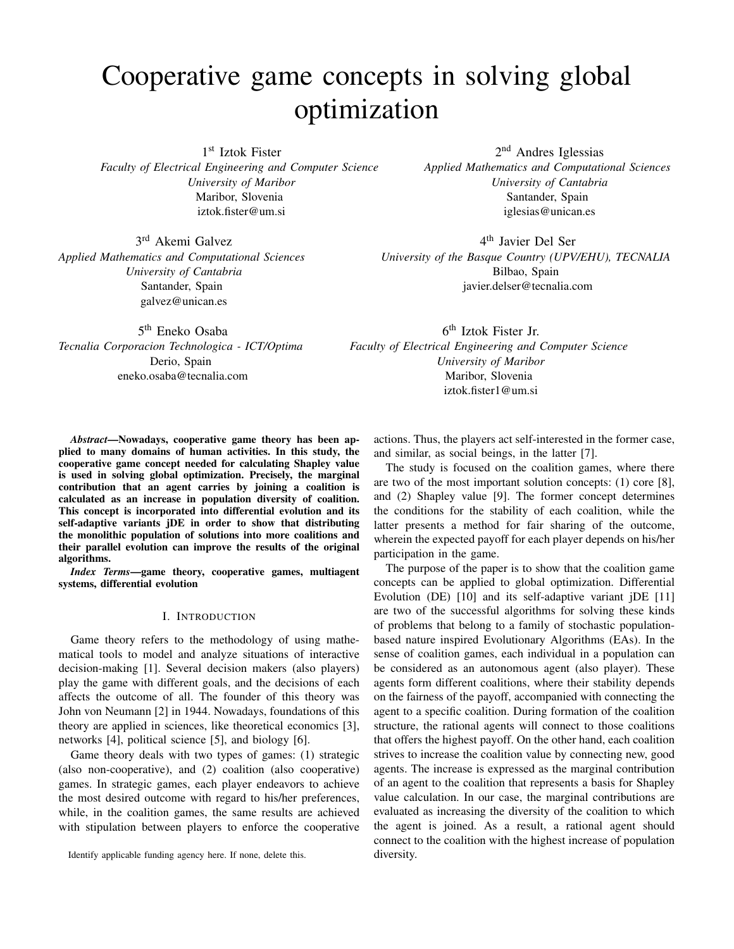# Cooperative game concepts in solving global optimization

1 st Iztok Fister

*Faculty of Electrical Engineering and Computer Science University of Maribor* Maribor, Slovenia iztok.fister@um.si

3 rd Akemi Galvez *Applied Mathematics and Computational Sciences University of Cantabria* Santander, Spain galvez@unican.es

5 th Eneko Osaba *Tecnalia Corporacion Technologica - ICT/Optima* Derio, Spain eneko.osaba@tecnalia.com

2<sup>nd</sup> Andres Iglessias *Applied Mathematics and Computational Sciences University of Cantabria* Santander, Spain iglesias@unican.es

4 th Javier Del Ser *University of the Basque Country (UPV/EHU), TECNALIA* Bilbao, Spain javier.delser@tecnalia.com

6 th Iztok Fister Jr. *Faculty of Electrical Engineering and Computer Science University of Maribor* Maribor, Slovenia iztok.fister1@um.si

*Abstract*—Nowadays, cooperative game theory has been applied to many domains of human activities. In this study, the cooperative game concept needed for calculating Shapley value is used in solving global optimization. Precisely, the marginal contribution that an agent carries by joining a coalition is calculated as an increase in population diversity of coalition. This concept is incorporated into differential evolution and its self-adaptive variants jDE in order to show that distributing the monolithic population of solutions into more coalitions and their parallel evolution can improve the results of the original algorithms.

*Index Terms*—game theory, cooperative games, multiagent systems, differential evolution

#### I. INTRODUCTION

Game theory refers to the methodology of using mathematical tools to model and analyze situations of interactive decision-making [1]. Several decision makers (also players) play the game with different goals, and the decisions of each affects the outcome of all. The founder of this theory was John von Neumann [2] in 1944. Nowadays, foundations of this theory are applied in sciences, like theoretical economics [3], networks [4], political science [5], and biology [6].

Game theory deals with two types of games: (1) strategic (also non-cooperative), and (2) coalition (also cooperative) games. In strategic games, each player endeavors to achieve the most desired outcome with regard to his/her preferences, while, in the coalition games, the same results are achieved with stipulation between players to enforce the cooperative

Identify applicable funding agency here. If none, delete this.

actions. Thus, the players act self-interested in the former case, and similar, as social beings, in the latter [7].

The study is focused on the coalition games, where there are two of the most important solution concepts: (1) core [8], and (2) Shapley value [9]. The former concept determines the conditions for the stability of each coalition, while the latter presents a method for fair sharing of the outcome, wherein the expected payoff for each player depends on his/her participation in the game.

The purpose of the paper is to show that the coalition game concepts can be applied to global optimization. Differential Evolution (DE) [10] and its self-adaptive variant jDE [11] are two of the successful algorithms for solving these kinds of problems that belong to a family of stochastic populationbased nature inspired Evolutionary Algorithms (EAs). In the sense of coalition games, each individual in a population can be considered as an autonomous agent (also player). These agents form different coalitions, where their stability depends on the fairness of the payoff, accompanied with connecting the agent to a specific coalition. During formation of the coalition structure, the rational agents will connect to those coalitions that offers the highest payoff. On the other hand, each coalition strives to increase the coalition value by connecting new, good agents. The increase is expressed as the marginal contribution of an agent to the coalition that represents a basis for Shapley value calculation. In our case, the marginal contributions are evaluated as increasing the diversity of the coalition to which the agent is joined. As a result, a rational agent should connect to the coalition with the highest increase of population diversity.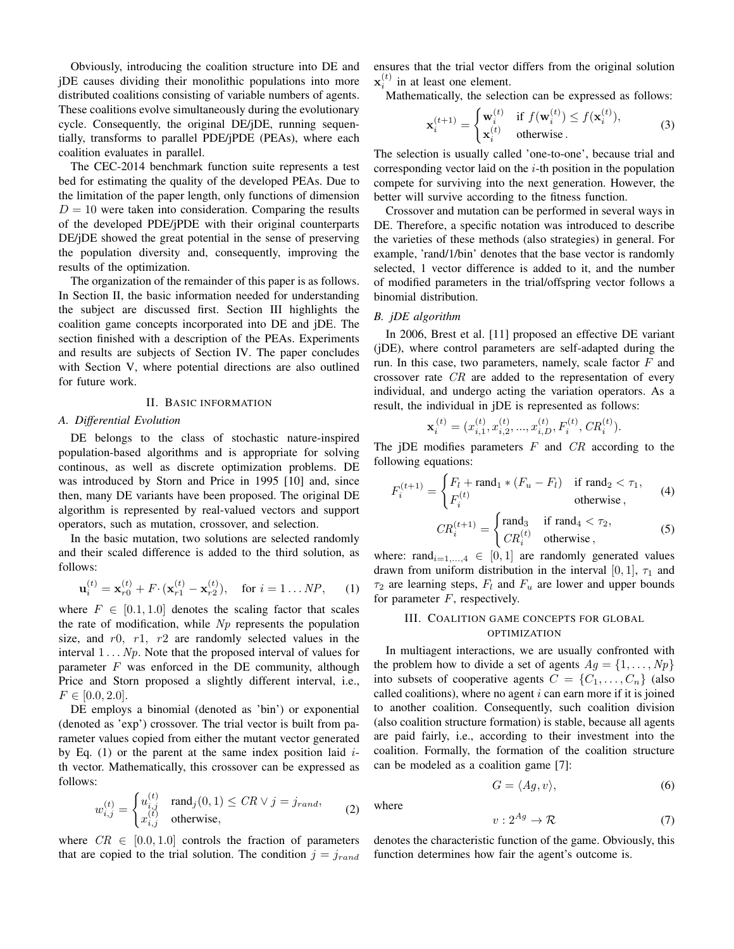Obviously, introducing the coalition structure into DE and jDE causes dividing their monolithic populations into more distributed coalitions consisting of variable numbers of agents. These coalitions evolve simultaneously during the evolutionary cycle. Consequently, the original DE/jDE, running sequentially, transforms to parallel PDE/jPDE (PEAs), where each coalition evaluates in parallel.

The CEC-2014 benchmark function suite represents a test bed for estimating the quality of the developed PEAs. Due to the limitation of the paper length, only functions of dimension  $D = 10$  were taken into consideration. Comparing the results of the developed PDE/jPDE with their original counterparts DE/jDE showed the great potential in the sense of preserving the population diversity and, consequently, improving the results of the optimization.

The organization of the remainder of this paper is as follows. In Section II, the basic information needed for understanding the subject are discussed first. Section III highlights the coalition game concepts incorporated into DE and jDE. The section finished with a description of the PEAs. Experiments and results are subjects of Section IV. The paper concludes with Section V, where potential directions are also outlined for future work.

## II. BASIC INFORMATION

#### *A. Differential Evolution*

DE belongs to the class of stochastic nature-inspired population-based algorithms and is appropriate for solving continous, as well as discrete optimization problems. DE was introduced by Storn and Price in 1995 [10] and, since then, many DE variants have been proposed. The original DE algorithm is represented by real-valued vectors and support operators, such as mutation, crossover, and selection.

In the basic mutation, two solutions are selected randomly and their scaled difference is added to the third solution, as follows:

$$
\mathbf{u}_i^{(t)} = \mathbf{x}_{r0}^{(t)} + F \cdot (\mathbf{x}_{r1}^{(t)} - \mathbf{x}_{r2}^{(t)}), \quad \text{for } i = 1 \dots NP, \qquad (1)
$$

where  $F \in [0.1, 1.0]$  denotes the scaling factor that scales the rate of modification, while  $Np$  represents the population size, and  $r0$ ,  $r1$ ,  $r2$  are randomly selected values in the interval  $1 \ldots Np$ . Note that the proposed interval of values for parameter  $F$  was enforced in the DE community, although Price and Storn proposed a slightly different interval, i.e.,  $F \in [0.0, 2.0].$ 

DE employs a binomial (denoted as 'bin') or exponential (denoted as 'exp') crossover. The trial vector is built from parameter values copied from either the mutant vector generated by Eq. (1) or the parent at the same index position laid  $i$ th vector. Mathematically, this crossover can be expressed as follows:

$$
w_{i,j}^{(t)} = \begin{cases} u_{i,j}^{(t)} & \text{rand}_j(0,1) \leq CR \vee j = j_{rand}, \\ x_{i,j}^{(t)} & \text{otherwise}, \end{cases}
$$
 (2)

where  $CR \in [0.0, 1.0]$  controls the fraction of parameters that are copied to the trial solution. The condition  $j = j_{rand}$  ensures that the trial vector differs from the original solution  $\mathbf{x}_i^{(t)}$  in at least one element.

Mathematically, the selection can be expressed as follows:

$$
\mathbf{x}_{i}^{(t+1)} = \begin{cases} \mathbf{w}_{i}^{(t)} & \text{if } f(\mathbf{w}_{i}^{(t)}) \le f(\mathbf{x}_{i}^{(t)}), \\ \mathbf{x}_{i}^{(t)} & \text{otherwise.} \end{cases}
$$
 (3)

The selection is usually called 'one-to-one', because trial and corresponding vector laid on the  $i$ -th position in the population compete for surviving into the next generation. However, the better will survive according to the fitness function.

Crossover and mutation can be performed in several ways in DE. Therefore, a specific notation was introduced to describe the varieties of these methods (also strategies) in general. For example, 'rand/1/bin' denotes that the base vector is randomly selected, 1 vector difference is added to it, and the number of modified parameters in the trial/offspring vector follows a binomial distribution.

# *B. jDE algorithm*

In 2006, Brest et al. [11] proposed an effective DE variant (jDE), where control parameters are self-adapted during the run. In this case, two parameters, namely, scale factor  $F$  and crossover rate CR are added to the representation of every individual, and undergo acting the variation operators. As a result, the individual in jDE is represented as follows:

$$
\mathbf{x}_i^{(t)} = (x_{i,1}^{(t)}, x_{i,2}^{(t)}, ..., x_{i,D}^{(t)}, F_i^{(t)}, CR_i^{(t)}).
$$

The jDE modifies parameters  $F$  and  $CR$  according to the following equations:

$$
F_i^{(t+1)} = \begin{cases} F_l + \text{rand}_1 * (F_u - F_l) & \text{if } \text{rand}_2 < \tau_1, \\ F_i^{(t)} & \text{otherwise} \end{cases} \tag{4}
$$

$$
CR_i^{(t+1)} = \begin{cases} \text{rand}_3 & \text{if } \text{rand}_4 < \tau_2, \\ CR_i^{(t)} & \text{otherwise} \end{cases} \tag{5}
$$

where: rand $_{i=1,...,4} \in [0,1]$  are randomly generated values drawn from uniform distribution in the interval [0, 1],  $\tau_1$  and  $\tau_2$  are learning steps,  $F_l$  and  $F_u$  are lower and upper bounds for parameter  $F$ , respectively.

# III. COALITION GAME CONCEPTS FOR GLOBAL OPTIMIZATION

In multiagent interactions, we are usually confronted with the problem how to divide a set of agents  $Ag = \{1, \ldots, Np\}$ into subsets of cooperative agents  $C = \{C_1, \ldots, C_n\}$  (also called coalitions), where no agent  $i$  can earn more if it is joined to another coalition. Consequently, such coalition division (also coalition structure formation) is stable, because all agents are paid fairly, i.e., according to their investment into the coalition. Formally, the formation of the coalition structure can be modeled as a coalition game [7]:

$$
G = \langle Ag, v \rangle,\tag{6}
$$

where

$$
v: 2^{Ag} \to \mathcal{R} \tag{7}
$$

denotes the characteristic function of the game. Obviously, this function determines how fair the agent's outcome is.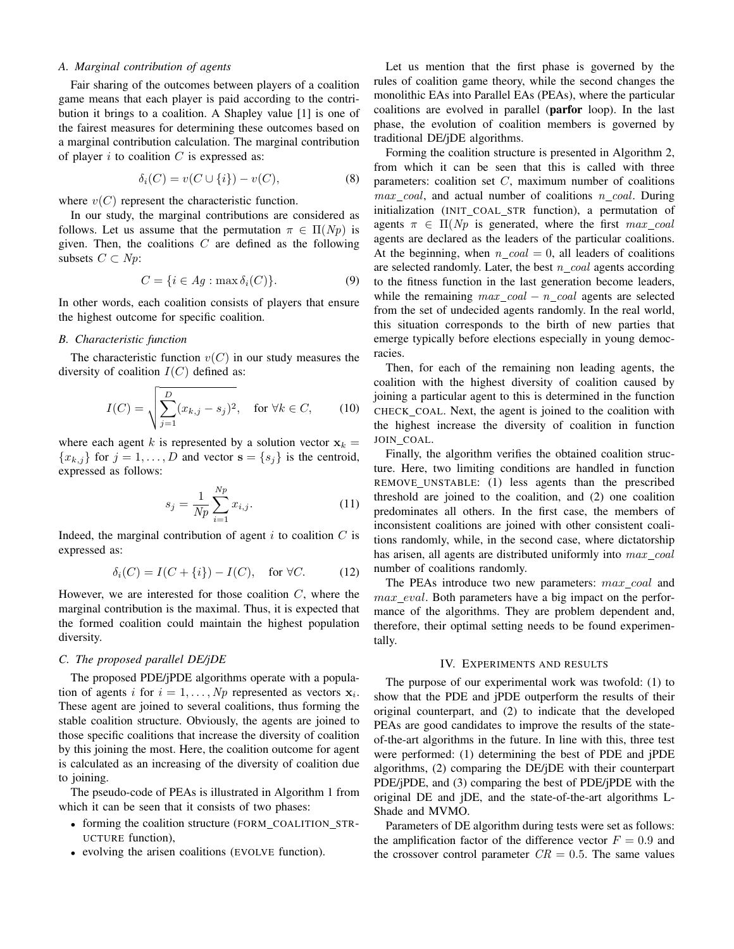## *A. Marginal contribution of agents*

Fair sharing of the outcomes between players of a coalition game means that each player is paid according to the contribution it brings to a coalition. A Shapley value [1] is one of the fairest measures for determining these outcomes based on a marginal contribution calculation. The marginal contribution of player  $i$  to coalition  $C$  is expressed as:

$$
\delta_i(C) = v(C \cup \{i\}) - v(C),\tag{8}
$$

where  $v(C)$  represent the characteristic function.

In our study, the marginal contributions are considered as follows. Let us assume that the permutation  $\pi \in \Pi(Np)$  is given. Then, the coalitions  $C$  are defined as the following subsets  $C \subset Np$ :

$$
C = \{ i \in Ag : \max \delta_i(C) \}. \tag{9}
$$

In other words, each coalition consists of players that ensure the highest outcome for specific coalition.

## *B. Characteristic function*

The characteristic function  $v(C)$  in our study measures the diversity of coalition  $I(C)$  defined as:

$$
I(C) = \sqrt{\sum_{j=1}^{D} (x_{k,j} - s_j)^2}, \quad \text{for } \forall k \in C,
$$
 (10)

where each agent k is represented by a solution vector  $x_k =$  ${x_{k,j}}$  for  $j = 1, \ldots, D$  and vector  $\mathbf{s} = \{s_j\}$  is the centroid, expressed as follows:

$$
s_j = \frac{1}{Np} \sum_{i=1}^{Np} x_{i,j}.
$$
 (11)

Indeed, the marginal contribution of agent  $i$  to coalition  $C$  is expressed as:

$$
\delta_i(C) = I(C + \{i\}) - I(C), \quad \text{for } \forall C. \tag{12}
$$

However, we are interested for those coalition  $C$ , where the marginal contribution is the maximal. Thus, it is expected that the formed coalition could maintain the highest population diversity.

### *C. The proposed parallel DE/jDE*

The proposed PDE/jPDE algorithms operate with a population of agents *i* for  $i = 1, \ldots, Np$  represented as vectors  $x_i$ . These agent are joined to several coalitions, thus forming the stable coalition structure. Obviously, the agents are joined to those specific coalitions that increase the diversity of coalition by this joining the most. Here, the coalition outcome for agent is calculated as an increasing of the diversity of coalition due to joining.

The pseudo-code of PEAs is illustrated in Algorithm 1 from which it can be seen that it consists of two phases:

- forming the coalition structure (FORM\_COALITION\_STR-UCTURE function),
- evolving the arisen coalitions (EVOLVE function).

Let us mention that the first phase is governed by the rules of coalition game theory, while the second changes the monolithic EAs into Parallel EAs (PEAs), where the particular coalitions are evolved in parallel (parfor loop). In the last phase, the evolution of coalition members is governed by traditional DE/jDE algorithms.

Forming the coalition structure is presented in Algorithm 2, from which it can be seen that this is called with three parameters: coalition set  $C$ , maximum number of coalitions max coal, and actual number of coalitions n coal. During initialization (INIT COAL STR function), a permutation of agents  $\pi \in \Pi(Np)$  is generated, where the first  $max_{\text{1}}\text{coal}$ agents are declared as the leaders of the particular coalitions. At the beginning, when  $n \text{ coal} = 0$ , all leaders of coalitions are selected randomly. Later, the best  $n_{\text{1}}\text{coal}$  agents according to the fitness function in the last generation become leaders, while the remaining  $max\_coal - n\_coal$  agents are selected from the set of undecided agents randomly. In the real world, this situation corresponds to the birth of new parties that emerge typically before elections especially in young democracies.

Then, for each of the remaining non leading agents, the coalition with the highest diversity of coalition caused by joining a particular agent to this is determined in the function CHECK COAL. Next, the agent is joined to the coalition with the highest increase the diversity of coalition in function JOIN COAL.

Finally, the algorithm verifies the obtained coalition structure. Here, two limiting conditions are handled in function REMOVE UNSTABLE: (1) less agents than the prescribed threshold are joined to the coalition, and (2) one coalition predominates all others. In the first case, the members of inconsistent coalitions are joined with other consistent coalitions randomly, while, in the second case, where dictatorship has arisen, all agents are distributed uniformly into  $max\_coal$ number of coalitions randomly.

The PEAs introduce two new parameters:  $max\_coal$  and max eval. Both parameters have a big impact on the performance of the algorithms. They are problem dependent and, therefore, their optimal setting needs to be found experimentally.

## IV. EXPERIMENTS AND RESULTS

The purpose of our experimental work was twofold: (1) to show that the PDE and jPDE outperform the results of their original counterpart, and (2) to indicate that the developed PEAs are good candidates to improve the results of the stateof-the-art algorithms in the future. In line with this, three test were performed: (1) determining the best of PDE and jPDE algorithms, (2) comparing the DE/jDE with their counterpart PDE/jPDE, and (3) comparing the best of PDE/jPDE with the original DE and jDE, and the state-of-the-art algorithms L-Shade and MVMO.

Parameters of DE algorithm during tests were set as follows: the amplification factor of the difference vector  $F = 0.9$  and the crossover control parameter  $CR = 0.5$ . The same values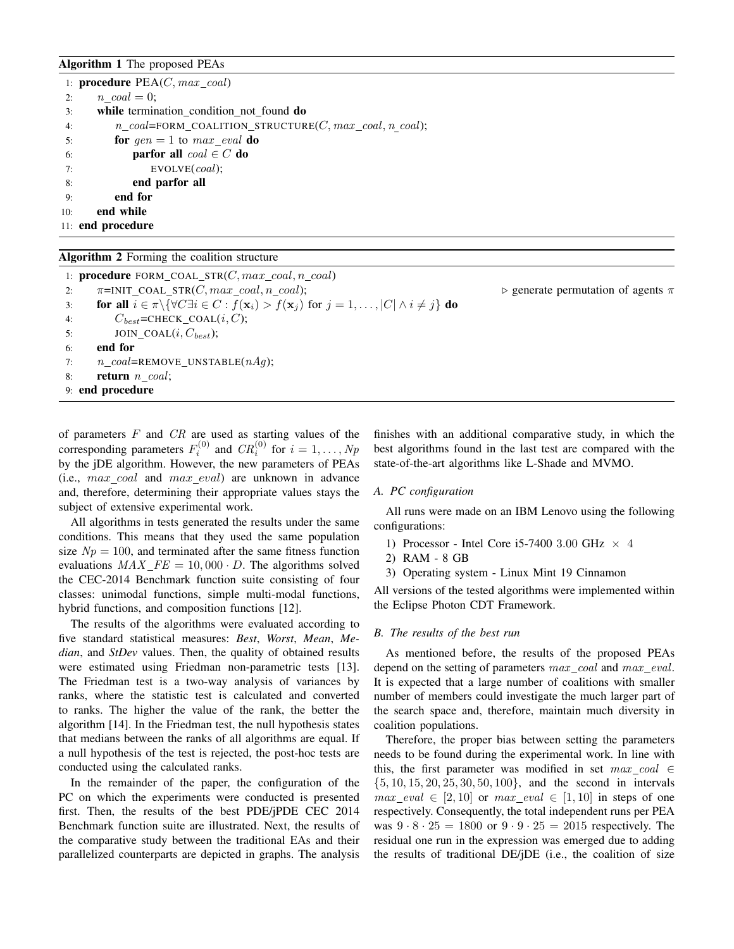# Algorithm 1 The proposed PEAs

|     | 1: <b>procedure</b> $PEA(C, max_{1})$                           |  |  |  |  |  |  |
|-----|-----------------------------------------------------------------|--|--|--|--|--|--|
| 2:  | $n \quad coal = 0;$                                             |  |  |  |  |  |  |
| 3:  | while termination condition not found do                        |  |  |  |  |  |  |
| 4:  | $n\_coal$ =FORM_COALITION_STRUCTURE(C, $max\_coal, n \ coal)$ ; |  |  |  |  |  |  |
| 5:  | for $gen = 1$ to $max\_eval$ do                                 |  |  |  |  |  |  |
| 6:  | <b>parfor all</b> $coal \in C$ do                               |  |  |  |  |  |  |
| 7:  | EVOLVE(coal);                                                   |  |  |  |  |  |  |
| 8:  | end parfor all                                                  |  |  |  |  |  |  |
| 9:  | end for                                                         |  |  |  |  |  |  |
| 10: | end while                                                       |  |  |  |  |  |  |
|     | 11: end procedure                                               |  |  |  |  |  |  |

## Algorithm 2 Forming the coalition structure

1: procedure  $FORM\_COL\_STR(C, max\_coal, n\_coal)$ 2:  $\pi = \text{INIT\_COL\_STR}(C, max\_coal, n\_coal);$   $\triangleright$  generate permutation of agents  $\pi$ 3: **for all**  $i \in \pi \setminus {\forall C \exists i \in C : f(\mathbf{x}_i) > f(\mathbf{x}_j) \text{ for } j = 1, \ldots, |C| \land i \neq j}$  **do** 4:  $C_{best}$ =CHECK\_COAL(*i*, *C*); 5: JOIN\_COAL $(i, C_{best})$ ; 6: end for 7:  $n\_coal =$ REMOVE\_UNSTABLE $(nAg)$ ; 8: return  $n\_coal;$ 9: end procedure

of parameters  $F$  and  $CR$  are used as starting values of the corresponding parameters  $F_i^{(0)}$  and  $CR_i^{(0)}$  for  $i = 1, ..., Np$ by the jDE algorithm. However, the new parameters of PEAs (i.e.,  $max_{c}coal$  and  $max_{c}eval$ ) are unknown in advance and, therefore, determining their appropriate values stays the subject of extensive experimental work.

All algorithms in tests generated the results under the same conditions. This means that they used the same population size  $Np = 100$ , and terminated after the same fitness function evaluations  $MAX\_FE = 10,000 \cdot D$ . The algorithms solved the CEC-2014 Benchmark function suite consisting of four classes: unimodal functions, simple multi-modal functions, hybrid functions, and composition functions [12].

The results of the algorithms were evaluated according to five standard statistical measures: *Best*, *Worst*, *Mean*, *Median*, and *StDev* values. Then, the quality of obtained results were estimated using Friedman non-parametric tests [13]. The Friedman test is a two-way analysis of variances by ranks, where the statistic test is calculated and converted to ranks. The higher the value of the rank, the better the algorithm [14]. In the Friedman test, the null hypothesis states that medians between the ranks of all algorithms are equal. If a null hypothesis of the test is rejected, the post-hoc tests are conducted using the calculated ranks.

In the remainder of the paper, the configuration of the PC on which the experiments were conducted is presented first. Then, the results of the best PDE/jPDE CEC 2014 Benchmark function suite are illustrated. Next, the results of the comparative study between the traditional EAs and their parallelized counterparts are depicted in graphs. The analysis

finishes with an additional comparative study, in which the best algorithms found in the last test are compared with the state-of-the-art algorithms like L-Shade and MVMO.

#### *A. PC configuration*

All runs were made on an IBM Lenovo using the following configurations:

- 1) Processor Intel Core i5-7400 3.00 GHz  $\times$  4
- 2) RAM 8 GB
- 3) Operating system Linux Mint 19 Cinnamon

All versions of the tested algorithms were implemented within the Eclipse Photon CDT Framework.

## *B. The results of the best run*

As mentioned before, the results of the proposed PEAs depend on the setting of parameters *max* coal and *max eval*. It is expected that a large number of coalitions with smaller number of members could investigate the much larger part of the search space and, therefore, maintain much diversity in coalition populations.

Therefore, the proper bias between setting the parameters needs to be found during the experimental work. In line with this, the first parameter was modified in set  $max_{c} coal \in$  $\{5, 10, 15, 20, 25, 30, 50, 100\}$ , and the second in intervals  $max\_eval \in [2, 10]$  or  $max\_eval \in [1, 10]$  in steps of one respectively. Consequently, the total independent runs per PEA was  $9 \cdot 8 \cdot 25 = 1800$  or  $9 \cdot 9 \cdot 25 = 2015$  respectively. The residual one run in the expression was emerged due to adding the results of traditional DE/jDE (i.e., the coalition of size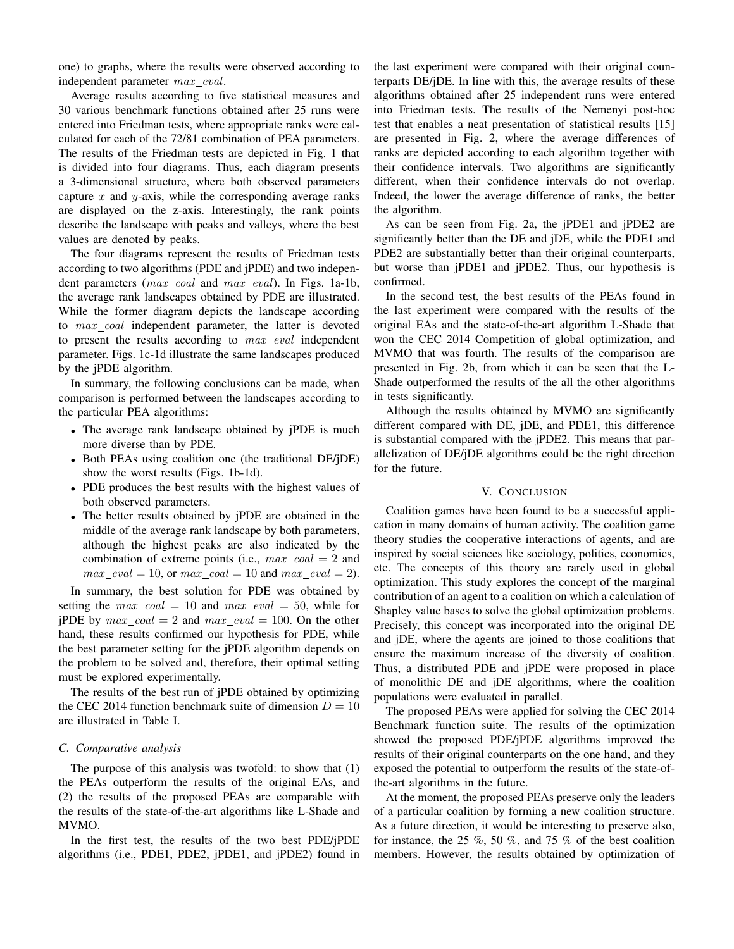one) to graphs, where the results were observed according to independent parameter  $max\_eval$ .

Average results according to five statistical measures and 30 various benchmark functions obtained after 25 runs were entered into Friedman tests, where appropriate ranks were calculated for each of the 72/81 combination of PEA parameters. The results of the Friedman tests are depicted in Fig. 1 that is divided into four diagrams. Thus, each diagram presents a 3-dimensional structure, where both observed parameters capture  $x$  and  $y$ -axis, while the corresponding average ranks are displayed on the z-axis. Interestingly, the rank points describe the landscape with peaks and valleys, where the best values are denoted by peaks.

The four diagrams represent the results of Friedman tests according to two algorithms (PDE and jPDE) and two independent parameters (max\_coal and max\_eval). In Figs. 1a-1b, the average rank landscapes obtained by PDE are illustrated. While the former diagram depicts the landscape according to  $max_{\text{1}}$  coal independent parameter, the latter is devoted to present the results according to  $max\_eval$  independent parameter. Figs. 1c-1d illustrate the same landscapes produced by the jPDE algorithm.

In summary, the following conclusions can be made, when comparison is performed between the landscapes according to the particular PEA algorithms:

- The average rank landscape obtained by jPDE is much more diverse than by PDE.
- Both PEAs using coalition one (the traditional DE/jDE) show the worst results (Figs. 1b-1d).
- PDE produces the best results with the highest values of both observed parameters.
- The better results obtained by jPDE are obtained in the middle of the average rank landscape by both parameters, although the highest peaks are also indicated by the combination of extreme points (i.e.,  $max_{c} coal = 2$  and  $max\_eval = 10$ , or  $max\_coal = 10$  and  $max\_eval = 2$ ).

In summary, the best solution for PDE was obtained by setting the  $max\_coal = 10$  and  $max\_eval = 50$ , while for jPDE by  $max\_coal = 2$  and  $max\_eval = 100$ . On the other hand, these results confirmed our hypothesis for PDE, while the best parameter setting for the jPDE algorithm depends on the problem to be solved and, therefore, their optimal setting must be explored experimentally.

The results of the best run of jPDE obtained by optimizing the CEC 2014 function benchmark suite of dimension  $D = 10$ are illustrated in Table I.

#### *C. Comparative analysis*

The purpose of this analysis was twofold: to show that (1) the PEAs outperform the results of the original EAs, and (2) the results of the proposed PEAs are comparable with the results of the state-of-the-art algorithms like L-Shade and MVMO.

In the first test, the results of the two best PDE/jPDE algorithms (i.e., PDE1, PDE2, jPDE1, and jPDE2) found in the last experiment were compared with their original counterparts DE/jDE. In line with this, the average results of these algorithms obtained after 25 independent runs were entered into Friedman tests. The results of the Nemenyi post-hoc test that enables a neat presentation of statistical results [15] are presented in Fig. 2, where the average differences of ranks are depicted according to each algorithm together with their confidence intervals. Two algorithms are significantly different, when their confidence intervals do not overlap. Indeed, the lower the average difference of ranks, the better the algorithm.

As can be seen from Fig. 2a, the jPDE1 and jPDE2 are significantly better than the DE and jDE, while the PDE1 and PDE2 are substantially better than their original counterparts, but worse than jPDE1 and jPDE2. Thus, our hypothesis is confirmed.

In the second test, the best results of the PEAs found in the last experiment were compared with the results of the original EAs and the state-of-the-art algorithm L-Shade that won the CEC 2014 Competition of global optimization, and MVMO that was fourth. The results of the comparison are presented in Fig. 2b, from which it can be seen that the L-Shade outperformed the results of the all the other algorithms in tests significantly.

Although the results obtained by MVMO are significantly different compared with DE, jDE, and PDE1, this difference is substantial compared with the jPDE2. This means that parallelization of DE/jDE algorithms could be the right direction for the future.

#### V. CONCLUSION

Coalition games have been found to be a successful application in many domains of human activity. The coalition game theory studies the cooperative interactions of agents, and are inspired by social sciences like sociology, politics, economics, etc. The concepts of this theory are rarely used in global optimization. This study explores the concept of the marginal contribution of an agent to a coalition on which a calculation of Shapley value bases to solve the global optimization problems. Precisely, this concept was incorporated into the original DE and jDE, where the agents are joined to those coalitions that ensure the maximum increase of the diversity of coalition. Thus, a distributed PDE and jPDE were proposed in place of monolithic DE and jDE algorithms, where the coalition populations were evaluated in parallel.

The proposed PEAs were applied for solving the CEC 2014 Benchmark function suite. The results of the optimization showed the proposed PDE/jPDE algorithms improved the results of their original counterparts on the one hand, and they exposed the potential to outperform the results of the state-ofthe-art algorithms in the future.

At the moment, the proposed PEAs preserve only the leaders of a particular coalition by forming a new coalition structure. As a future direction, it would be interesting to preserve also, for instance, the 25 %, 50 %, and 75 % of the best coalition members. However, the results obtained by optimization of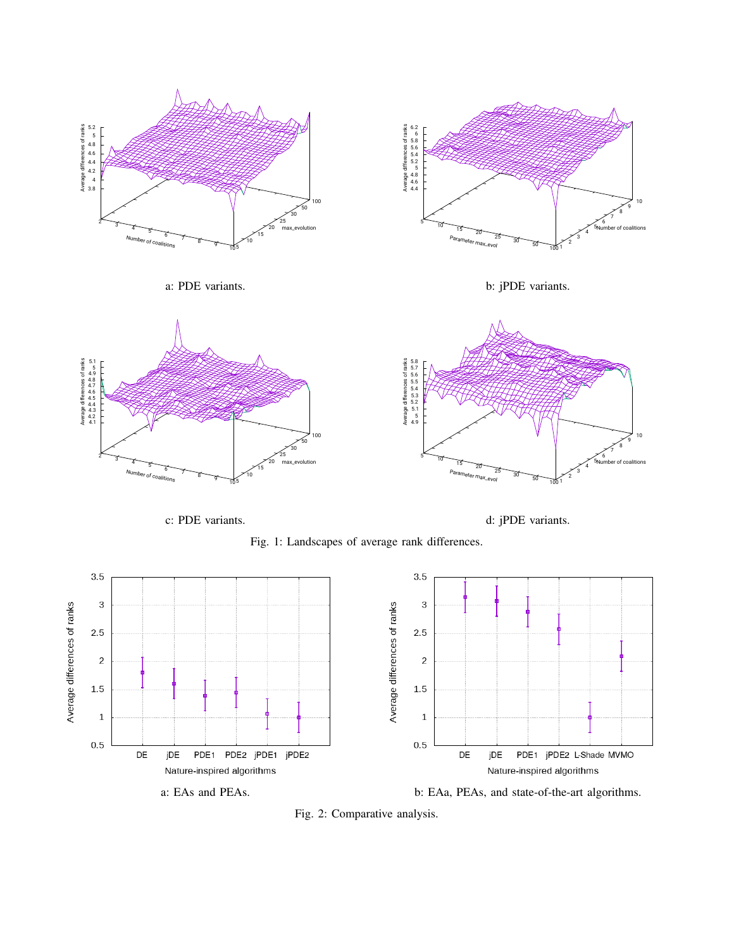



a: PDE variants.

b: jPDE variants.



c: PDE variants.

d: jPDE variants.





Fig. 2: Comparative analysis.